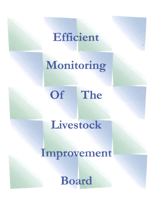### Efficient

# Monitoring

## Of The

### Livestock

### Improvement

### Board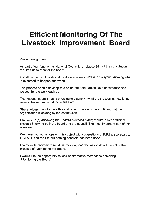### **Efficient Monitoring Of The Livestock Improvement Board**

Project assignment

As part of our function as National Councillors clause 25.1 of the constitution requires us to monitor the board.

For all concerned this should be done efficiently and with everyone knowing what is expected to happen and when.

The process should develop to a point that both parties have acceptance and respect for the work each do.

The national council has to show quite distinctly, what the process is, how it has been achieved and what the results are.

Shareholders have to have this sort of information, to be confident that the organisation is abiding by the constitution.

Clause 25.1[b] reviewing the Board's business plans; require a clear efficient process involving both the board and the council. The most important part of this is review.

We have had workshops on this subject with suggestions of K.P.I s, scorecards, OCFAID and the like but nothing concrete has been done.

Livestock Improvement must, in my view, lead the way in development of the process of Monitoring the Board.

I would like the opportunity to look at alternative methods to achieving "Monitoring the Board"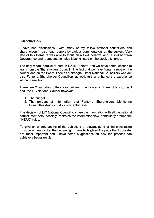#### **Introduction**

I have had discussions with many of my fellow national councillors and shareholders. I also read papers by various commentators on the subject. Very little of this literature was able to focus on a Co-Operative with a split between Governance and representation plus it being listed on the stock exchange.

The only model parallel to ours in NZ is Fonterra and we have some lessons to learn from the Shareholders Council . The fact that we have Fonterra reps on the council and on the Board, I see as a strength. Other National Councillors who are also Fonterra Shareholder Councillors as well, further enhance the experience we can draw from.

There are 2 important differences between the Fonterra Shareholders Council and the LIC National Council however.

- 1. The budget
- 2. The amount of information that Fonterra Shareholders Monitoring Committee deal with at a confidential level.

The decision of LIC National Council to share the information with all the national council members, possibly restrains the information flow, particularly around the "NZAX" rules.

To give an understanding of the subject, the relevant parts of the constitution must be understood at the beginning . I have highlighted the parts that I consider are most important and I have some suggestions on how the process can achieve a better result.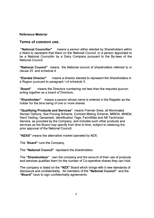#### Reference Material

#### Terms of common use.

"National Councillor" means a person either elected by Shareholders within a Ward to represent that Ward on the National Council, or a person appointed to be a National Councillor by a Dairy Company pursuant to the By-laws of the National Council;

"National Council" means the National council of shareholders referred to in clause 25 and schedule 4

"Elected Director" means a director elected to represent the Shareholders in a Region pursuant to paragraph I of schedule 3;

"Board" means the Directors numbering not less than the required quorum acting together as a board of Directors;

"Shareholder" means a person whose name is entered in the Register as the holder for the time being of one or more shares.

"Qualifying Products and Services" means Premier Sires, all Nominated Semen Options, Sire Proving Scheme, Contract Mating Scheme, MINDA, MINDA Herd Testing, Genemark, Identification Tags, FarmWise and AB Technician Service, as provided by the Company, and includes such other products and services as the Board may specify from time to time, subject to obtaining the prior approval of the National Council;

"NZAX" means the alternative market operated by NZX;

The "Board" runs the Company,

The "National Council" represent the shareholders

The "Shareholders" own the company and the amount of their use of products and services qualifies them for the number of Co-operative shares they can hold.

The company is listed on the "NZX" Board which brings with it new standards of disclosure and confidentiality . All members of the "National Council" and the "Board" have to sign confidentiality agreements.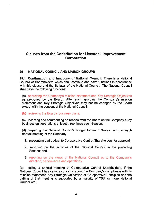#### Clauses from the Constitution for Livestock Improvement **Corporation**

#### 25 NATIONAL COUNCIL AND LIAISON GROUPS

25.1 Continuation and functions of National Council: There is a National Council of Shareholders which shall continue and have functions in accordance with this clause and the By-laws of the National Council. The National Council shall have the following functions:

(a) approving the Company's mission statement and Key Strategic Objectives as proposed by the Board. After such approval the Company's mission statement and Key Strategic Objectives may not be changed by the Board except with the consent of the National Council;

#### (b) reviewing the Board's business plans;

(c) receiving and commenting on reports from the Board on the Company's key business unit operations at least three times each Season;

(d) preparing the National Council's budget for each Season and, at each annual meeting of the Company:

- 1. presenting that budget to Co-operative Control Shareholders for approval;
- 2. reporting on the activities of the National Council in the preceding Season; and
- 3. reporting on the views of the National Council as to the Company's direction, performance and operations;

(e) calling a special meeting of Co-operative Control Shareholders, if the National Council has serious concerns about the Company's compliance with its mission statement, Key Strategic Objectives or Co-operative Principles and the calling of that meeting is supported by a majority of 75% or more National Councillors;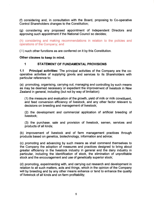(f) considering and, in consultation with the Board, proposing to Co-operative Control Shareholders changes to the Constitution;

(g) considering any proposed appointment of Independent Directors and approving such appointment if the National Council so decides;

(h) considering and making recommendations in relation to the policies and operations of the Company; and

( I ) such other functions as are conferred on it by this Constitution.

Other clauses to keep in mind.

#### 1 STATEMENT OF FUNDAMENTAL PROVISIONS

1.1 Principal activities: The principal activities of the Company are the cooperative activities of supplying goods and services to its Shareholders with particular reference to:

(a) promoting, organising, carrying out, managing and controlling by such means as may be deemed necessary or expedient the improvement of livestock in New Zealand in general, including (but not by way of limitation):

(1) the measure and evaluation of the growth, yield of milk or milk constituent, and feed conversion efficiency of livestock, and any other factor relevant to decisions on breeding and management of livestock;

(2) the development and commercial application of artificial breeding of livestock;

(3) the purchase, sale and provision of livestock, semen, services and products of all kinds;

(b) improvement of livestock and of farm management practices through products based on genetics, biotechnology, information and advice;

(c) promoting and advancing by such means as shall commend themselves to the Company the adoption of measures and practices designed to bring about greater efficiency in the livestock industry in general and the dairy industry in particular, including the identification of stock, the elimination of unprofitable stock and the encouragement and use of genetically superior stock;

(d) promoting, experimenting with, and carrying out research and development in relation to all such matters, acts and things, which in the opinion of the Company will by breeding and by any other means enhance or tend to enhance the quality of livestock of all kinds and on farm profitability;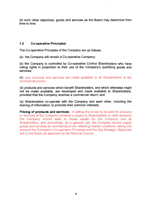(e) such other objectives, goods and services as the Board may determine from time to time.

#### 1.2 Co-operative Principles:

The Co-operative Principles of the Company are as follows:

(a) the Company will remain a Co-operative Company;

(b) the Company is controlled by Co-operative Control Shareholders who have voting rights in proportion to their use of the Company's qualifying goods and services;

(c) core products and services are made available to all Shareholders at fair commercial prices;

(d) products and services which benefit Shareholders, and which otherwise might not be made available, are developed and made available to Shareholders, provided that the Company receives a commercial return; and

(e) Shareholders co-operate with the Company and each other, including the sharing of information, to promote their common interests.

**Pricing of products and services:** In setting the prices to be paid for products or services of the Company (whether a supply to Shareholders or other persons) the Company should seek to create wealth for the Company and its Shareholders, and accordingly, as a general rule, the Company should supply goods and services at commercial prices reflecting market conditions, taking into account the Company's Co-operative Principles and the Key Strategic Objectives set by the Board as approved by the National Council.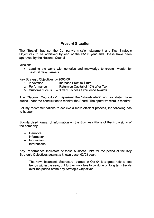#### **Present Situation**

The "Board" has set the Company's mission statement and Key Strategic Objectives to be achieved by end of the *05/06* year and these have been approved by the National Council.

Mission:

• Leading the world with genetics and knowledge to create wealth for pastoral dairy farmers

Key Strategic Objectives by *2005/06* 

- 1. Innovation -- Increase Profit to \$10m
- 2. Performance -- Return on Capital of 10% after Tax
- 3. Customer Focus Silver Business Excellence Awards

The "National Councillors" represent the "shareholders" and as stated have duties under the constitution to monitor the Board. The operative word is monitor.

For my recommendations to achieve a more efficient process, the following has to happen:

Standardised format of information on the Business Plans of the 4 divisions of the company.

- Genetics
- information
- Innovation
- International.

Key Performance Indicators of those business units for the period of the Key Strategic Objectives against a known base, 02/03 year.

The new balanced Scorecard started in Oct 04 is a great help to see trends within the year, but further work has to be done on long term trends over the period of the Key Strategic Objectives.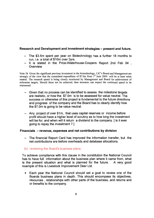#### Research and Development and investment strategies - present and future.

- The \$3.5m spent per year on Biotechnology has a further 18 months to run, i.e. a total of \$10m over 3yrs.
- It is stated in the Price-Waterhouse-Coopers Report 2nd Feb 04, **Overview**

Note 36 Given the significant previous investment in the biotechnology, LIC's Board and Management are strongly of the view that the committed expenditure of \$7.0m from  $1<sup>st</sup>$  June 2004 will be at least value neutral. The research spend is being closely monitored by Management and Board for achievement of milestone targets. Should these not be achieved, then investors can expect the continued spend to be reassessed.

- Given that no process can be identified to assess the milestone targets are realistic, or how the \$7. Om is to be assessed for value neutral. The success or otherwise of this project is fundamental to the future directions and progress of the company and the Board has to clearly identify how the \$7.0m is going to be value neutral.
- Any project of over \$1m, that uses capital reserves or income before profit should have a higher level of scrutiny as to how long the investment will be for, and when will it return a dividend to the company. [is it ever going to repay the investment? ]

#### Financials - revenue, expenses and net contributions by division

- The financial Report Card has improved the information transfer, but the net contributions are before overheads and database allocations.

#### (b) reviewing the Board's business plans;

To achieve compliance with this clause in the constitution the National Council has to have full information about the business plan where it came from, what is the present situation and what is planned for the future. A very good example of this is Livestock Improvement Deer Ltd.

• Each year the National Council should set a goal to review one of the Boards business plans in depth. This should encompass its objectives, resources , relationships with other parts of the business, and returns and or benefits to the company.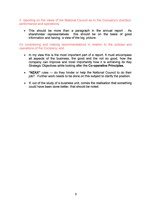3. reporting on the views of the National Council as to the Company's direction, performance and operations;

• This should be more than a paragraph in the annual report . As shareholder representatives this should be on the basis of good information and having a view of the big picture.

(h) considering and making recommendations in relation to the policies and operations of the Company; and

- In my view this is the most important part of a report. It must encompass all aspects of the business, the good and the not so good, how the company can improve and most importantly how it is achieving its Key Strategic Objectives while looking after the Co-operative Principles.
- "NZAX" rules --- do they hinder or help the National Council to do their job? Further work needs to be done on this subject to clarify the position.
- If, out of the study of a business unit, comes the realisation that something could have been done better, that should be noted.